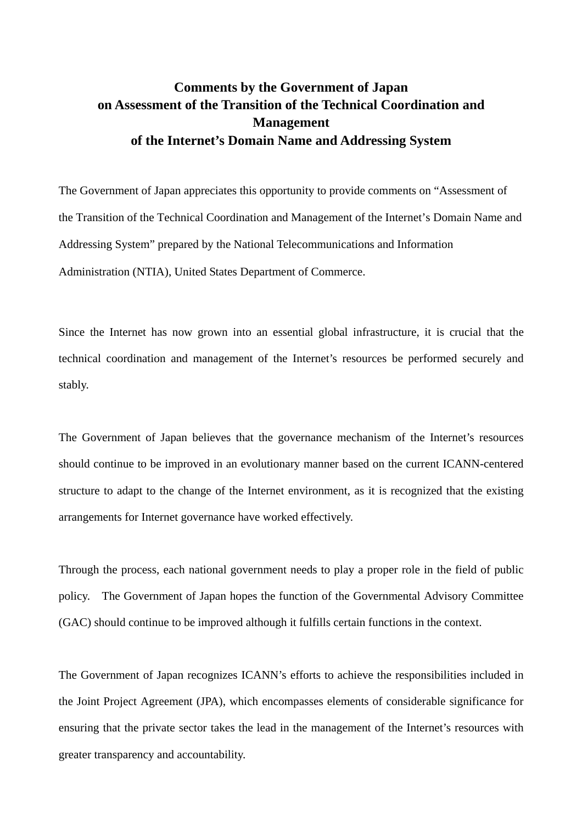## **Comments by the Government of Japan on Assessment of the Transition of the Technical Coordination and Management of the Internet's Domain Name and Addressing System**

The Government of Japan appreciates this opportunity to provide comments on "Assessment of the Transition of the Technical Coordination and Management of the Internet's Domain Name and Addressing System" prepared by the National Telecommunications and Information Administration (NTIA), United States Department of Commerce.

Since the Internet has now grown into an essential global infrastructure, it is crucial that the technical coordination and management of the Internet's resources be performed securely and stably.

The Government of Japan believes that the governance mechanism of the Internet's resources should continue to be improved in an evolutionary manner based on the current ICANN-centered structure to adapt to the change of the Internet environment, as it is recognized that the existing arrangements for Internet governance have worked effectively.

Through the process, each national government needs to play a proper role in the field of public policy. The Government of Japan hopes the function of the Governmental Advisory Committee (GAC) should continue to be improved although it fulfills certain functions in the context.

The Government of Japan recognizes ICANN's efforts to achieve the responsibilities included in the Joint Project Agreement (JPA), which encompasses elements of considerable significance for ensuring that the private sector takes the lead in the management of the Internet's resources with greater transparency and accountability.